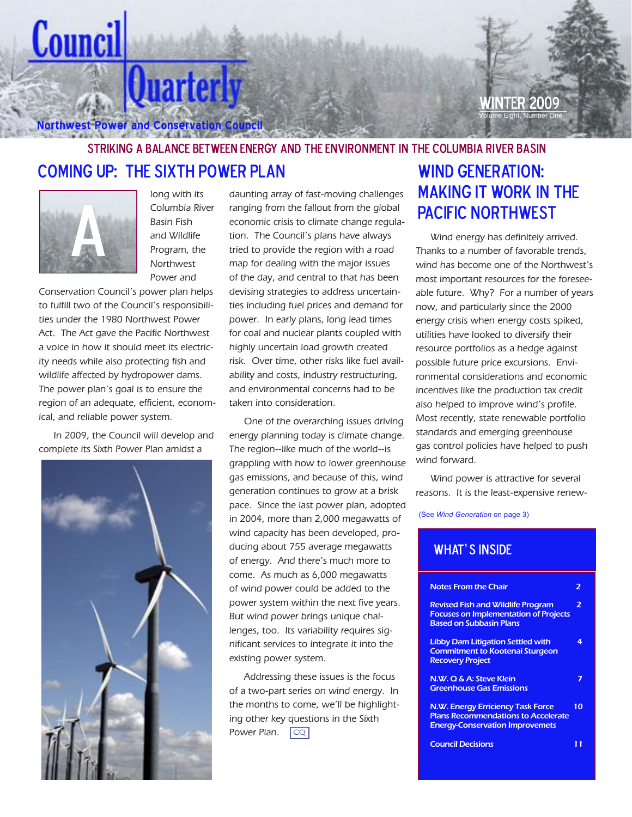**Northwest Power and Conservation Council**

**NTFR 2009** Volume Eight, Number One

# Striking a Balance Between Energy and the Environment in the Columbia River Basin Coming Up: The Sixth Power Plan WIND GENERATION:



Counci

long with its Columbia River Basin Fish and Wildlife Program, the Northwest Power and

**Quarterly** 

Conservation Council's power plan helps to fulfill two of the Council's responsibilities under the 1980 Northwest Power Act. The Act gave the Pacific Northwest a voice in how it should meet its electricity needs while also protecting fish and wildlife affected by hydropower dams. The power plan's goal is to ensure the region of an adequate, efficient, economical, and reliable power system.

In 2009, the Council will develop and complete its Sixth Power Plan amidst a



daunting array of fast-moving challenges ranging from the fallout from the global economic crisis to climate change regulation. The Council's plans have always tried to provide the region with a road map for dealing with the major issues of the day, and central to that has been devising strategies to address uncertainties including fuel prices and demand for power. In early plans, long lead times for coal and nuclear plants coupled with highly uncertain load growth created risk. Over time, other risks like fuel availability and costs, industry restructuring, and environmental concerns had to be taken into consideration.

One of the overarching issues driving energy planning today is climate change. The region--like much of the world--is grappling with how to lower greenhouse gas emissions, and because of this, wind generation continues to grow at a brisk pace. Since the last power plan, adopted in 2004, more than 2,000 megawatts of wind capacity has been developed, producing about 755 average megawatts of energy. And there's much more to come. As much as 6,000 megawatts of wind power could be added to the power system within the next five years. But wind power brings unique challenges, too. Its variability requires significant services to integrate it into the existing power system.

Addressing these issues is the focus of a two-part series on wind energy. In the months to come, we'll be highlighting other key questions in the Sixth Power Plan. CQ

# Making It Work in the Pacific Northwest

Wind energy has definitely arrived. Thanks to a number of favorable trends, wind has become one of the Northwest's most important resources for the foreseeable future. Why? For a number of years now, and particularly since the 2000 energy crisis when energy costs spiked, utilities have looked to diversify their resource portfolios as a hedge against possible future price excursions. Environmental considerations and economic incentives like the production tax credit also helped to improve wind's profile. Most recently, state renewable portfolio standards and emerging greenhouse gas control policies have helped to push wind forward.

Wind power is attractive for several reasons. It is the least-expensive renew-

(See *Wind Generation* on page 3)

# WHAT'S INSIDE

| <b>Notes From the Chair</b>                                                                                                      |    |
|----------------------------------------------------------------------------------------------------------------------------------|----|
| <b>Revised Fish and Wildlife Program</b><br><b>Focuses on Implementation of Projects</b><br><b>Based on Subbasin Plans</b>       | 2  |
| <b>Libby Dam Litigation Settled with</b><br><b>Commitment to Kootenai Sturgeon</b><br><b>Recovery Project</b>                    | 4  |
| N.W. Q & A: Steve Klein<br><b>Greenhouse Gas Emissions</b>                                                                       |    |
| <b>N.W. Energy Erriciency Task Force</b><br><b>Plans Recommendations to Accelerate</b><br><b>Energy-Conservation Improvemets</b> | 10 |
| <b>Council Decisions</b>                                                                                                         |    |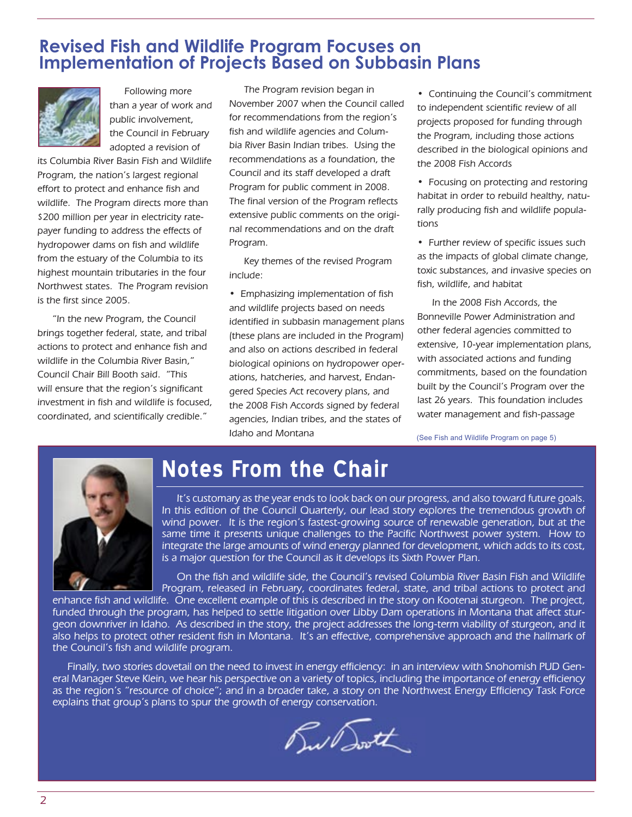# **Revised Fish and Wildlife Program Focuses on Implementation of Projects Based on Subbasin Plans**



Following more than a year of work and public involvement, the Council in February adopted a revision of

its Columbia River Basin Fish and Wildlife Program, the nation's largest regional effort to protect and enhance fish and wildlife. The Program directs more than \$200 million per year in electricity ratepayer funding to address the effects of hydropower dams on fish and wildlife from the estuary of the Columbia to its highest mountain tributaries in the four Northwest states. The Program revision is the first since 2005.

"In the new Program, the Council brings together federal, state, and tribal actions to protect and enhance fish and wildlife in the Columbia River Basin," Council Chair Bill Booth said. "This will ensure that the region's significant investment in fish and wildlife is focused, coordinated, and scientifically credible."

The Program revision began in November 2007 when the Council called for recommendations from the region's fish and wildlife agencies and Columbia River Basin Indian tribes. Using the recommendations as a foundation, the Council and its staff developed a draft Program for public comment in 2008. The final version of the Program reflects extensive public comments on the original recommendations and on the draft Program.

Key themes of the revised Program include:

• Emphasizing implementation of fish and wildlife projects based on needs identified in subbasin management plans (these plans are included in the Program) and also on actions described in federal biological opinions on hydropower operations, hatcheries, and harvest, Endangered Species Act recovery plans, and the 2008 Fish Accords signed by federal agencies, Indian tribes, and the states of Idaho and Montana

• Continuing the Council's commitment to independent scientific review of all projects proposed for funding through the Program, including those actions described in the biological opinions and the 2008 Fish Accords

• Focusing on protecting and restoring habitat in order to rebuild healthy, naturally producing fish and wildlife populations

• Further review of specific issues such as the impacts of global climate change, toxic substances, and invasive species on fish, wildlife, and habitat

In the 2008 Fish Accords, the Bonneville Power Administration and other federal agencies committed to extensive, 10-year implementation plans, with associated actions and funding commitments, based on the foundation built by the Council's Program over the last 26 years. This foundation includes water management and fish-passage

(See Fish and Wildlife Program on page 5)



# **Notes From the Chair**

It's customary as the year ends to look back on our progress, and also toward future goals. In this edition of the Council Quarterly, our lead story explores the tremendous growth of wind power. It is the region's fastest-growing source of renewable generation, but at the same time it presents unique challenges to the Pacific Northwest power system. How to integrate the large amounts of wind energy planned for development, which adds to its cost, is a major question for the Council as it develops its Sixth Power Plan.

On the fish and wildlife side, the Council's revised Columbia River Basin Fish and Wildlife Program, released in February, coordinates federal, state, and tribal actions to protect and

enhance fish and wildlife. One excellent example of this is described in the story on Kootenai sturgeon. The project, funded through the program, has helped to settle litigation over Libby Dam operations in Montana that affect sturgeon downriver in Idaho. As described in the story, the project addresses the long-term viability of sturgeon, and it also helps to protect other resident fish in Montana. It's an effective, comprehensive approach and the hallmark of the Council's fish and wildlife program.

Finally, two stories dovetail on the need to invest in energy efficiency: in an interview with Snohomish PUD General Manager Steve Klein, we hear his perspective on a variety of topics, including the importance of energy efficiency as the region's "resource of choice"; and in a broader take, a story on the Northwest Energy Efficiency Task Force explains that group's plans to spur the growth of energy conservation.

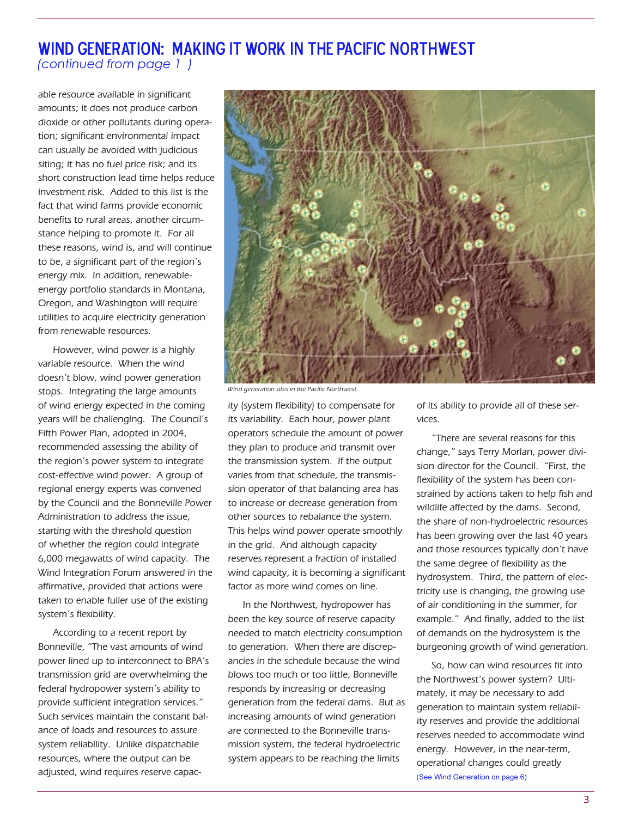# Wind Generation: Making It Work in the Pacific Northwest *(continued from page 1 )*

able resource available in significant amounts; it does not produce carbon dioxide or other pollutants during operation; significant environmental impact can usually be avoided with judicious siting; it has no fuel price risk; and its short construction lead time helps reduce investment risk. Added to this list is the fact that wind farms provide economic benefits to rural areas, another circumstance helping to promote it. For all these reasons, wind is, and will continue to be, a significant part of the region's energy mix. In addition, renewableenergy portfolio standards in Montana, Oregon, and Washington will require utilities to acquire electricity generation from renewable resources.

However, wind power is a highly variable resource. When the wind doesn't blow, wind power generation stops. Integrating the large amounts of wind energy expected in the coming years will be challenging. The Council's Fifth Power Plan, adopted in 2004, recommended assessing the ability of the region's power system to integrate cost-effective wind power. A group of regional energy experts was convened by the Council and the Bonneville Power Administration to address the issue, starting with the threshold question of whether the region could integrate 6,000 megawatts of wind capacity. The Wind Integration Forum answered in the affirmative, provided that actions were taken to enable fuller use of the existing system's flexibility.

According to a recent report by Bonneville, "The vast amounts of wind power lined up to interconnect to BPA's transmission grid are overwhelming the federal hydropower system's ability to provide sufficient integration services." Such services maintain the constant balance of loads and resources to assure system reliability. Unlike dispatchable resources, where the output can be adjusted, wind requires reserve capac-



Wind generation sites in the Pacific Northwest.

ity (system flexibility) to compensate for its variability. Each hour, power plant operators schedule the amount of power they plan to produce and transmit over the transmission system. If the output varies from that schedule, the transmission operator of that balancing area has to increase or decrease generation from other sources to rebalance the system. This helps wind power operate smoothly in the grid. And although capacity reserves represent a fraction of installed wind capacity, it is becoming a significant factor as more wind comes on line.

In the Northwest, hydropower has been the key source of reserve capacity needed to match electricity consumption to generation. When there are discrepancies in the schedule because the wind blows too much or too little, Bonneville responds by increasing or decreasing generation from the federal dams. But as increasing amounts of wind generation are connected to the Bonneville transmission system, the federal hydroelectric system appears to be reaching the limits

of its ability to provide all of these services.

"There are several reasons for this change," says Terry Morlan, power division director for the Council. "First, the flexibility of the system has been constrained by actions taken to help fish and wildlife affected by the dams. Second, the share of non-hydroelectric resources has been growing over the last 40 years and those resources typically don't have the same degree of flexibility as the hydrosystem. Third, the pattern of electricity use is changing, the growing use of air conditioning in the summer, for example." And finally, added to the list of demands on the hydrosystem is the burgeoning growth of wind generation.

So, how can wind resources fit into the Northwest's power system? Ultimately, it may be necessary to add generation to maintain system reliability reserves and provide the additional reserves needed to accommodate wind energy. However, in the near-term, operational changes could greatly (See Wind Generation on page 6)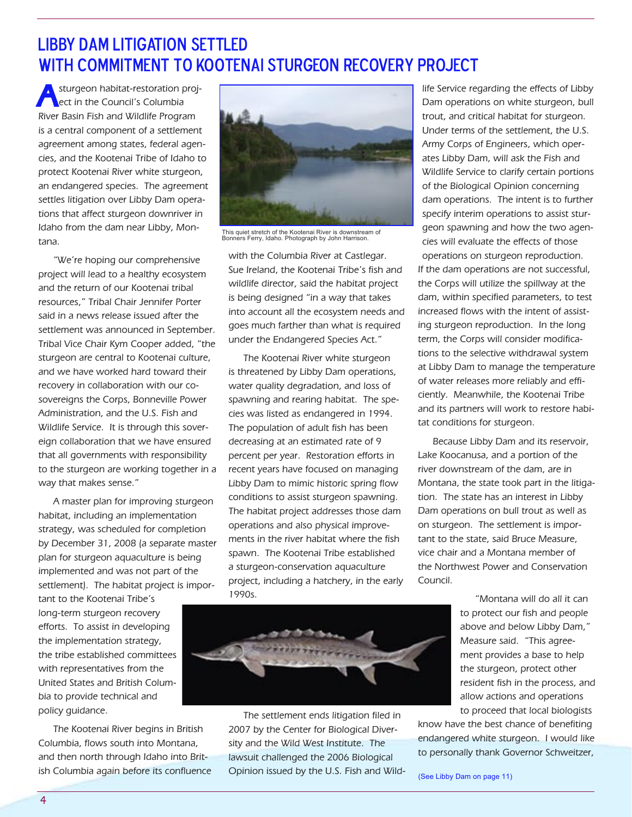# Libby Dam litigation settled WITH COMMITMENT TO KOOTENAI STURGEON RECOVERY PROJECT

sturgeon habitat-restoration project in the Council's Columbia River Basin Fish and Wildlife Program is a central component of a settlement agreement among states, federal agencies, and the Kootenai Tribe of Idaho to protect Kootenai River white sturgeon, an endangered species. The agreement settles litigation over Libby Dam operations that affect sturgeon downriver in Idaho from the dam near Libby, Montana.

"We're hoping our comprehensive project will lead to a healthy ecosystem and the return of our Kootenai tribal resources," Tribal Chair Jennifer Porter said in a news release issued after the settlement was announced in September. Tribal Vice Chair Kym Cooper added, "the sturgeon are central to Kootenai culture, and we have worked hard toward their recovery in collaboration with our cosovereigns the Corps, Bonneville Power Administration, and the U.S. Fish and Wildlife Service. It is through this sovereign collaboration that we have ensured that all governments with responsibility to the sturgeon are working together in a way that makes sense."

A master plan for improving sturgeon habitat, including an implementation strategy, was scheduled for completion by December 31, 2008 (a separate master plan for sturgeon aquaculture is being implemented and was not part of the settlement). The habitat project is impor-

tant to the Kootenai Tribe's long-term sturgeon recovery efforts. To assist in developing the implementation strategy, the tribe established committees with representatives from the United States and British Columbia to provide technical and policy guidance.

The Kootenai River begins in British Columbia, flows south into Montana, and then north through Idaho into British Columbia again before its confluence



This quiet stretch of the Kootenai River is downstream of Bonners Ferry, Idaho. Photograph by John Harrison.

with the Columbia River at Castlegar. Sue Ireland, the Kootenai Tribe's fish and wildlife director, said the habitat project is being designed "in a way that takes into account all the ecosystem needs and goes much farther than what is required under the Endangered Species Act."

The Kootenai River white sturgeon is threatened by Libby Dam operations, water quality degradation, and loss of spawning and rearing habitat. The species was listed as endangered in 1994. The population of adult fish has been decreasing at an estimated rate of 9 percent per year. Restoration efforts in recent years have focused on managing Libby Dam to mimic historic spring flow conditions to assist sturgeon spawning. The habitat project addresses those dam operations and also physical improvements in the river habitat where the fish spawn. The Kootenai Tribe established a sturgeon-conservation aquaculture project, including a hatchery, in the early 1990s.

life Service regarding the effects of Libby Dam operations on white sturgeon, bull trout, and critical habitat for sturgeon. Under terms of the settlement, the U.S. Army Corps of Engineers, which operates Libby Dam, will ask the Fish and Wildlife Service to clarify certain portions of the Biological Opinion concerning dam operations. The intent is to further specify interim operations to assist sturgeon spawning and how the two agencies will evaluate the effects of those operations on sturgeon reproduction. If the dam operations are not successful, the Corps will utilize the spillway at the dam, within specified parameters, to test increased flows with the intent of assisting sturgeon reproduction. In the long term, the Corps will consider modifications to the selective withdrawal system at Libby Dam to manage the temperature of water releases more reliably and efficiently. Meanwhile, the Kootenai Tribe and its partners will work to restore habitat conditions for sturgeon.

Because Libby Dam and its reservoir, Lake Koocanusa, and a portion of the river downstream of the dam, are in Montana, the state took part in the litigation. The state has an interest in Libby Dam operations on bull trout as well as on sturgeon. The settlement is important to the state, said Bruce Measure, vice chair and a Montana member of the Northwest Power and Conservation Council.

> "Montana will do all it can to protect our fish and people above and below Libby Dam," Measure said. "This agreement provides a base to help the sturgeon, protect other resident fish in the process, and allow actions and operations to proceed that local biologists

know have the best chance of benefiting endangered white sturgeon. I would like to personally thank Governor Schweitzer,



The settlement ends litigation filed in 2007 by the Center for Biological Diversity and the Wild West Institute. The lawsuit challenged the 2006 Biological Opinion issued by the U.S. Fish and Wild- (See Libby Dam on page 11)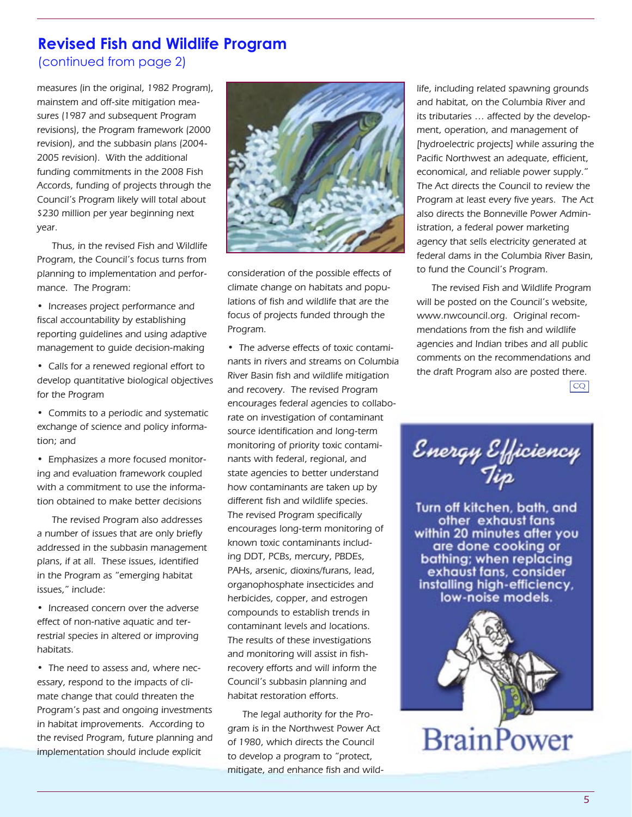# **Revised Fish and Wildlife Program**

(continued from page 2)

measures (in the original, 1982 Program), mainstem and off-site mitigation measures (1987 and subsequent Program revisions), the Program framework (2000 revision), and the subbasin plans (2004- 2005 revision). With the additional funding commitments in the 2008 Fish Accords, funding of projects through the Council's Program likely will total about \$230 million per year beginning next year.

Thus, in the revised Fish and Wildlife Program, the Council's focus turns from planning to implementation and performance. The Program:

• Increases project performance and fiscal accountability by establishing reporting guidelines and using adaptive management to guide decision-making

• Calls for a renewed regional effort to develop quantitative biological objectives for the Program

• Commits to a periodic and systematic exchange of science and policy information; and

• Emphasizes a more focused monitoring and evaluation framework coupled with a commitment to use the information obtained to make better decisions

The revised Program also addresses a number of issues that are only briefly addressed in the subbasin management plans, if at all. These issues, identified in the Program as "emerging habitat issues," include:

• Increased concern over the adverse effect of non-native aquatic and terrestrial species in altered or improving habitats.

• The need to assess and, where necessary, respond to the impacts of climate change that could threaten the Program's past and ongoing investments in habitat improvements. According to the revised Program, future planning and implementation should include explicit



consideration of the possible effects of climate change on habitats and populations of fish and wildlife that are the focus of projects funded through the Program.

• The adverse effects of toxic contaminants in rivers and streams on Columbia River Basin fish and wildlife mitigation and recovery. The revised Program encourages federal agencies to collaborate on investigation of contaminant source identification and long-term monitoring of priority toxic contaminants with federal, regional, and state agencies to better understand how contaminants are taken up by different fish and wildlife species. The revised Program specifically encourages long-term monitoring of known toxic contaminants including DDT, PCBs, mercury, PBDEs, PAHs, arsenic, dioxins/furans, lead, organophosphate insecticides and herbicides, copper, and estrogen compounds to establish trends in contaminant levels and locations. The results of these investigations and monitoring will assist in fishrecovery efforts and will inform the Council's subbasin planning and habitat restoration efforts.

The legal authority for the Program is in the Northwest Power Act of 1980, which directs the Council to develop a program to "protect, mitigate, and enhance fish and wildlife, including related spawning grounds and habitat, on the Columbia River and its tributaries … affected by the development, operation, and management of [hydroelectric projects] while assuring the Pacific Northwest an adequate, efficient, economical, and reliable power supply." The Act directs the Council to review the Program at least every five years. The Act also directs the Bonneville Power Administration, a federal power marketing agency that sells electricity generated at federal dams in the Columbia River Basin, to fund the Council's Program.

The revised Fish and Wildlife Program will be posted on the Council's website, www.nwcouncil.org. Original recommendations from the fish and wildlife agencies and Indian tribes and all public comments on the recommendations and the draft Program also are posted there.

 $|cQ|$ 



Turn off kitchen, bath, and other exhaust fans within 20 minutes after you are done cooking or bathing; when replacing exhaust fans, consider installing high-efficiency, low-noise models.

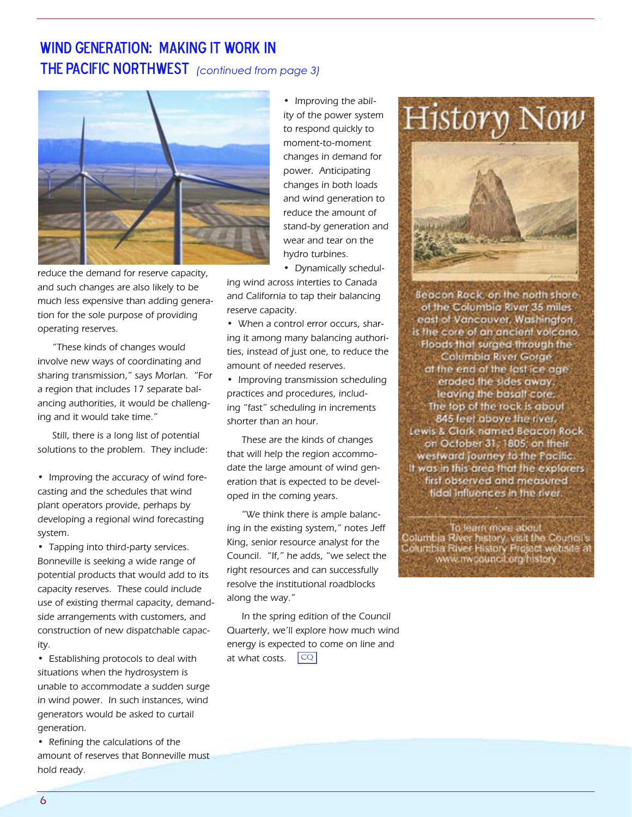# Wind Generation: Making It Work in **THE PACIFIC NORTHWEST** *(continued from page 3)*



reduce the demand for reserve capacity, and such changes are also likely to be much less expensive than adding generation for the sole purpose of providing operating reserves.

"These kinds of changes would involve new ways of coordinating and sharing transmission," says Morlan. "For a region that includes 17 separate balancing authorities, it would be challenging and it would take time."

Still, there is a long list of potential solutions to the problem. They include:

• Improving the accuracy of wind forecasting and the schedules that wind plant operators provide, perhaps by developing a regional wind forecasting system.

• Tapping into third-party services. Bonneville is seeking a wide range of potential products that would add to its capacity reserves. These could include use of existing thermal capacity, demandside arrangements with customers, and construction of new dispatchable capacity.

• Establishing protocols to deal with situations when the hydrosystem is unable to accommodate a sudden surge in wind power. In such instances, wind generators would be asked to curtail generation.

• Refining the calculations of the amount of reserves that Bonneville must hold ready.

• Improving the ability of the power system to respond quickly to moment-to-moment changes in demand for power. Anticipating changes in both loads and wind generation to reduce the amount of stand-by generation and wear and tear on the hydro turbines.

• Dynamically schedul-

ing wind across interties to Canada and California to tap their balancing reserve capacity.

• When a control error occurs, sharing it among many balancing authorities, instead of just one, to reduce the amount of needed reserves.

• Improving transmission scheduling practices and procedures, including "fast" scheduling in increments shorter than an hour.

These are the kinds of changes that will help the region accommodate the large amount of wind generation that is expected to be developed in the coming years.

"We think there is ample balancing in the existing system," notes Jeff King, senior resource analyst for the Council. "If," he adds, "we select the right resources and can successfully resolve the institutional roadblocks along the way."

In the spring edition of the Council Quarterly, we'll explore how much wind energy is expected to come on line and at what costs.  $\boxed{CQ}$ 



Beacon Rock, on the north shore of the Columbia River 35 miles east of Vancouver, Washington, is the core of an ancient volcano, Floods that surged through the Columbia River Gorge at the end of the last ice age eroded the sides away, leaving the basall core. The fop of the rock is about 845 feet above the river. Lewis & Clark named Beacon Rock on October 31, 1805; on their westward journey to the Pacific It was in this area that the explorers first observed and measured tidal influences in the river.

To learn more about<br>Columbia River history, visit the Couricit's<br>Columbia River History Project website at<br>Www.mvcouncil.org/history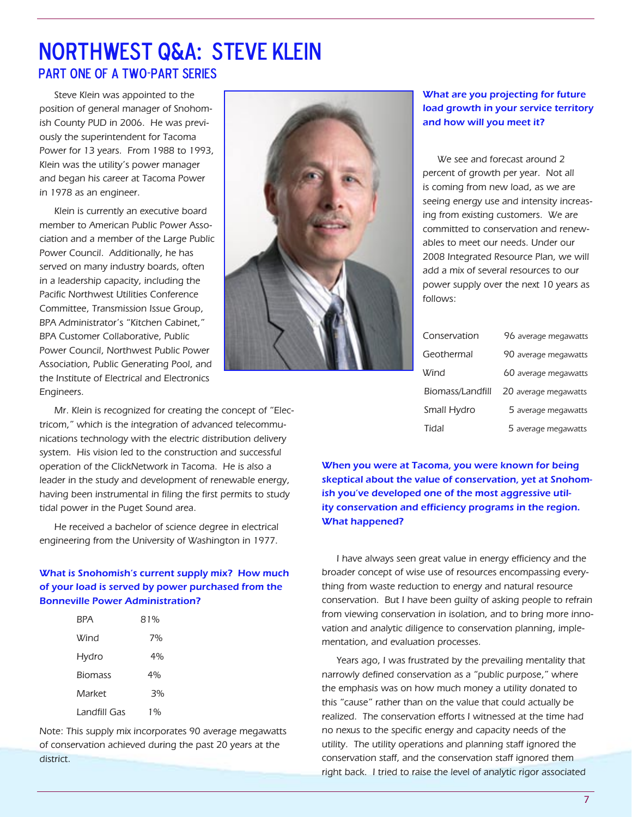# Northwest Q&A: Steve Klein Part one of a two-part series

Steve Klein was appointed to the position of general manager of Snohomish County PUD in 2006. He was previously the superintendent for Tacoma Power for 13 years. From 1988 to 1993, Klein was the utility's power manager and began his career at Tacoma Power in 1978 as an engineer.

Klein is currently an executive board member to American Public Power Association and a member of the Large Public Power Council. Additionally, he has served on many industry boards, often in a leadership capacity, including the Pacific Northwest Utilities Conference Committee, Transmission Issue Group, BPA Administrator's "Kitchen Cabinet," BPA Customer Collaborative, Public Power Council, Northwest Public Power Association, Public Generating Pool, and the Institute of Electrical and Electronics Engineers.



Mr. Klein is recognized for creating the concept of "Electricom," which is the integration of advanced telecommunications technology with the electric distribution delivery system. His vision led to the construction and successful operation of the ClickNetwork in Tacoma. He is also a leader in the study and development of renewable energy, having been instrumental in filing the first permits to study tidal power in the Puget Sound area.

He received a bachelor of science degree in electrical engineering from the University of Washington in 1977.

## What is Snohomish's current supply mix? How much of your load is served by power purchased from the Bonneville Power Administration?

| BPA            | 81% |  |
|----------------|-----|--|
| Wind           | 7%  |  |
| Hydro          | 4%  |  |
| <b>Biomass</b> | 4%  |  |
| Market         | 3%  |  |
| Landfill Gas   | 1%  |  |
|                |     |  |

Note: This supply mix incorporates 90 average megawatts of conservation achieved during the past 20 years at the district.

### What are you projecting for future load growth in your service territory and how will you meet it?

We see and forecast around 2 percent of growth per year. Not all is coming from new load, as we are seeing energy use and intensity increasing from existing customers. We are committed to conservation and renewables to meet our needs. Under our 2008 Integrated Resource Plan, we will add a mix of several resources to our power supply over the next 10 years as follows:

| Conservation     | 96 average megawatts |
|------------------|----------------------|
| Geothermal       | 90 average megawatts |
| Wind             | 60 average megawatts |
| Biomass/Landfill | 20 average megawatts |
| Small Hydro      | 5 average megawatts  |
| Tidal            | 5 average megawatts  |

When you were at Tacoma, you were known for being skeptical about the value of conservation, yet at Snohomish you've developed one of the most aggressive utility conservation and efficiency programs in the region. What happened?

I have always seen great value in energy efficiency and the broader concept of wise use of resources encompassing everything from waste reduction to energy and natural resource conservation. But I have been guilty of asking people to refrain from viewing conservation in isolation, and to bring more innovation and analytic diligence to conservation planning, implementation, and evaluation processes.

Years ago, I was frustrated by the prevailing mentality that narrowly defined conservation as a "public purpose," where the emphasis was on how much money a utility donated to this "cause" rather than on the value that could actually be realized. The conservation efforts I witnessed at the time had no nexus to the specific energy and capacity needs of the utility. The utility operations and planning staff ignored the conservation staff, and the conservation staff ignored them right back. I tried to raise the level of analytic rigor associated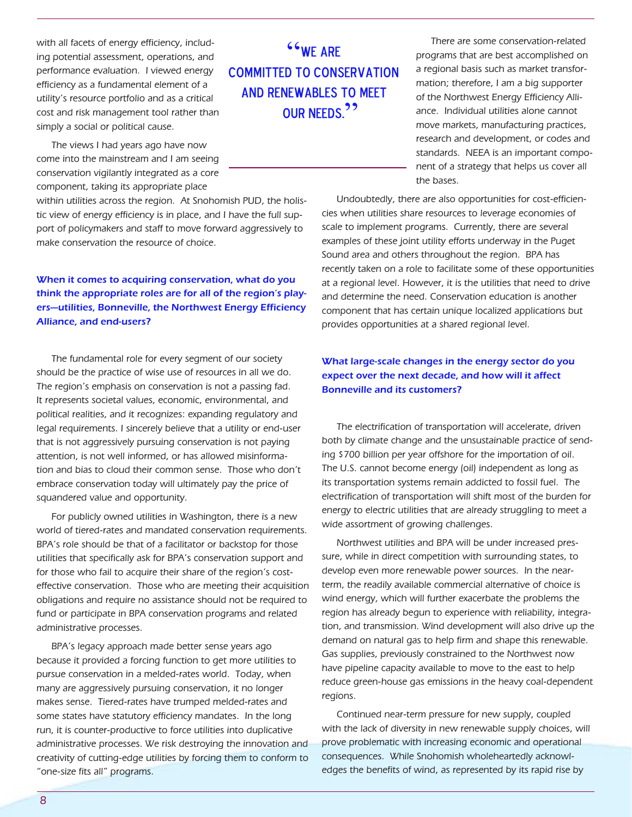with all facets of energy efficiency, including potential assessment, operations, and performance evaluation. I viewed energy efficiency as a fundamental element of a utility's resource portfolio and as a critical cost and risk management tool rather than simply a social or political cause.

The views I had years ago have now come into the mainstream and I am seeing conservation vigilantly integrated as a core component, taking its appropriate place

within utilities across the region. At Snohomish PUD, the holistic view of energy efficiency is in place, and I have the full support of policymakers and staff to move forward aggressively to make conservation the resource of choice.

## When it comes to acquiring conservation, what do you think the appropriate roles are for all of the region's players—utilities, Bonneville, the Northwest Energy Efficiency Alliance, and end-users?

The fundamental role for every segment of our society should be the practice of wise use of resources in all we do. The region's emphasis on conservation is not a passing fad. It represents societal values, economic, environmental, and political realities, and it recognizes: expanding regulatory and legal requirements. I sincerely believe that a utility or end-user that is not aggressively pursuing conservation is not paying attention, is not well informed, or has allowed misinformation and bias to cloud their common sense. Those who don't embrace conservation today will ultimately pay the price of squandered value and opportunity.

For publicly owned utilities in Washington, there is a new world of tiered-rates and mandated conservation requirements. BPA's role should be that of a facilitator or backstop for those utilities that specifically ask for BPA's conservation support and for those who fail to acquire their share of the region's costeffective conservation. Those who are meeting their acquisition obligations and require no assistance should not be required to fund or participate in BPA conservation programs and related administrative processes.

BPA's legacy approach made better sense years ago because it provided a forcing function to get more utilities to pursue conservation in a melded-rates world. Today, when many are aggressively pursuing conservation, it no longer makes sense. Tiered-rates have trumped melded-rates and some states have statutory efficiency mandates. In the long run, it is counter-productive to force utilities into duplicative administrative processes. We risk destroying the innovation and creativity of cutting-edge utilities by forcing them to conform to "one-size fits all" programs.

"We are committed to conservation and renewables to meet **OUR NFFDS<sup>?</sup>** 

There are some conservation-related programs that are best accomplished on a regional basis such as market transformation; therefore, I am a big supporter of the Northwest Energy Efficiency Alliance. Individual utilities alone cannot move markets, manufacturing practices, research and development, or codes and standards. NEEA is an important component of a strategy that helps us cover all the bases.

Undoubtedly, there are also opportunities for cost-efficiencies when utilities share resources to leverage economies of scale to implement programs. Currently, there are several examples of these joint utility efforts underway in the Puget Sound area and others throughout the region. BPA has recently taken on a role to facilitate some of these opportunities at a regional level. However, it is the utilities that need to drive and determine the need. Conservation education is another component that has certain unique localized applications but provides opportunities at a shared regional level.

### What large-scale changes in the energy sector do you expect over the next decade, and how will it affect Bonneville and its customers?

The electrification of transportation will accelerate, driven both by climate change and the unsustainable practice of sending \$700 billion per year offshore for the importation of oil. The U.S. cannot become energy (oil) independent as long as its transportation systems remain addicted to fossil fuel. The electrification of transportation will shift most of the burden for energy to electric utilities that are already struggling to meet a wide assortment of growing challenges.

Northwest utilities and BPA will be under increased pressure, while in direct competition with surrounding states, to develop even more renewable power sources. In the nearterm, the readily available commercial alternative of choice is wind energy, which will further exacerbate the problems the region has already begun to experience with reliability, integration, and transmission. Wind development will also drive up the demand on natural gas to help firm and shape this renewable. Gas supplies, previously constrained to the Northwest now have pipeline capacity available to move to the east to help reduce green-house gas emissions in the heavy coal-dependent regions.

Continued near-term pressure for new supply, coupled with the lack of diversity in new renewable supply choices, will prove problematic with increasing economic and operational consequences. While Snohomish wholeheartedly acknowledges the benefits of wind, as represented by its rapid rise by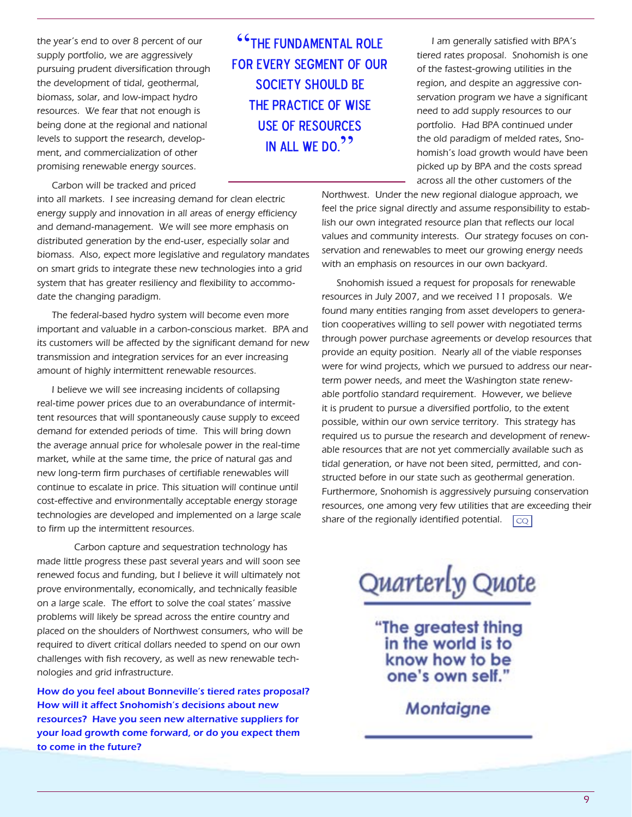the year's end to over 8 percent of our supply portfolio, we are aggressively pursuing prudent diversification through the development of tidal, geothermal, biomass, solar, and low-impact hydro resources. We fear that not enough is being done at the regional and national levels to support the research, development, and commercialization of other promising renewable energy sources.

Carbon will be tracked and priced

into all markets. I see increasing demand for clean electric energy supply and innovation in all areas of energy efficiency and demand-management. We will see more emphasis on distributed generation by the end-user, especially solar and biomass. Also, expect more legislative and regulatory mandates on smart grids to integrate these new technologies into a grid system that has greater resiliency and flexibility to accommodate the changing paradigm.

The federal-based hydro system will become even more important and valuable in a carbon-conscious market. BPA and its customers will be affected by the significant demand for new transmission and integration services for an ever increasing amount of highly intermittent renewable resources.

I believe we will see increasing incidents of collapsing real-time power prices due to an overabundance of intermittent resources that will spontaneously cause supply to exceed demand for extended periods of time. This will bring down the average annual price for wholesale power in the real-time market, while at the same time, the price of natural gas and new long-term firm purchases of certifiable renewables will continue to escalate in price. This situation will continue until cost-effective and environmentally acceptable energy storage technologies are developed and implemented on a large scale to firm up the intermittent resources.

 Carbon capture and sequestration technology has made little progress these past several years and will soon see renewed focus and funding, but I believe it will ultimately not prove environmentally, economically, and technically feasible on a large scale. The effort to solve the coal states' massive problems will likely be spread across the entire country and placed on the shoulders of Northwest consumers, who will be required to divert critical dollars needed to spend on our own challenges with fish recovery, as well as new renewable technologies and grid infrastructure.

How do you feel about Bonneville's tiered rates proposal? How will it affect Snohomish's decisions about new resources? Have you seen new alternative suppliers for your load growth come forward, or do you expect them to come in the future?

"The fundamental role FOR EVERY SEGMENT OF OUR society should be the practice of wise use of resources IN ALL WE DO.<sup>22</sup>

I am generally satisfied with BPA's tiered rates proposal. Snohomish is one of the fastest-growing utilities in the region, and despite an aggressive conservation program we have a significant need to add supply resources to our portfolio. Had BPA continued under the old paradigm of melded rates, Snohomish's load growth would have been picked up by BPA and the costs spread across all the other customers of the

Northwest. Under the new regional dialogue approach, we feel the price signal directly and assume responsibility to establish our own integrated resource plan that reflects our local values and community interests. Our strategy focuses on conservation and renewables to meet our growing energy needs with an emphasis on resources in our own backyard.

 $|CO|$ Snohomish issued a request for proposals for renewable resources in July 2007, and we received 11 proposals. We found many entities ranging from asset developers to generation cooperatives willing to sell power with negotiated terms through power purchase agreements or develop resources that provide an equity position. Nearly all of the viable responses were for wind projects, which we pursued to address our nearterm power needs, and meet the Washington state renewable portfolio standard requirement. However, we believe it is prudent to pursue a diversified portfolio, to the extent possible, within our own service territory. This strategy has required us to pursue the research and development of renewable resources that are not yet commercially available such as tidal generation, or have not been sited, permitted, and constructed before in our state such as geothermal generation. Furthermore, Snohomish is aggressively pursuing conservation resources, one among very few utilities that are exceeding their share of the regionally identified potential.

Quarterly Quote

"The greatest thing<br>in the world is to know how to be one's own self.'

**Montaigne**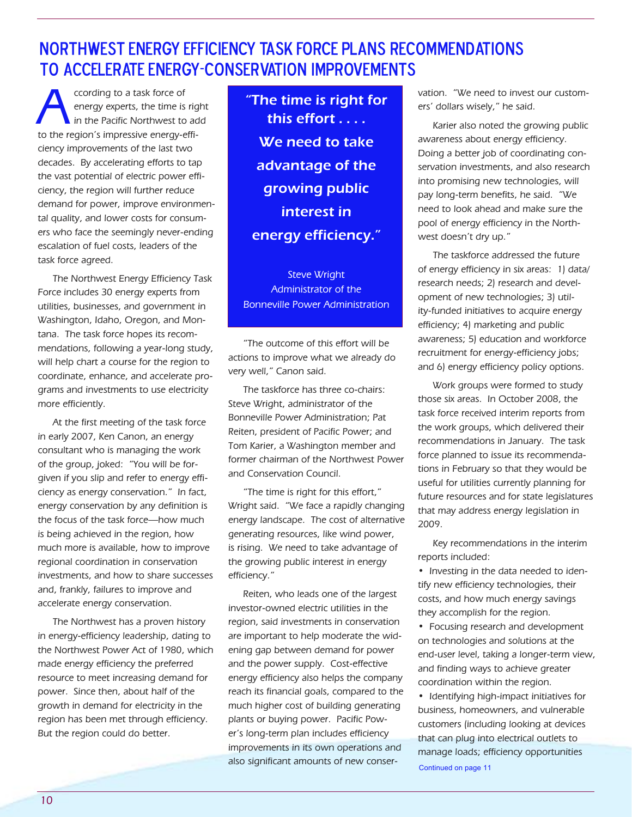# Northwest Energy Efficiency Task Force Plans recommendations to accelerate Energy-conservation improvements

ccording to a task force of<br>energy experts, the time is<br>in the Pacific Northwest to energy experts, the time is right in the Pacific Northwest to add to the region's impressive energy-efficiency improvements of the last two decades. By accelerating efforts to tap the vast potential of electric power efficiency, the region will further reduce demand for power, improve environmental quality, and lower costs for consumers who face the seemingly never-ending escalation of fuel costs, leaders of the task force agreed.

The Northwest Energy Efficiency Task Force includes 30 energy experts from utilities, businesses, and government in Washington, Idaho, Oregon, and Montana. The task force hopes its recommendations, following a year-long study, will help chart a course for the region to coordinate, enhance, and accelerate programs and investments to use electricity more efficiently.

At the first meeting of the task force in early 2007, Ken Canon, an energy consultant who is managing the work of the group, joked: "You will be forgiven if you slip and refer to energy efficiency as energy conservation." In fact, energy conservation by any definition is the focus of the task force—how much is being achieved in the region, how much more is available, how to improve regional coordination in conservation investments, and how to share successes and, frankly, failures to improve and accelerate energy conservation.

The Northwest has a proven history in energy-efficiency leadership, dating to the Northwest Power Act of 1980, which made energy efficiency the preferred resource to meet increasing demand for power. Since then, about half of the growth in demand for electricity in the region has been met through efficiency. But the region could do better.

"The time is right for this effort . . . . We need to take advantage of the growing public interest in energy efficiency."

Steve Wright Administrator of the Bonneville Power Administration

"The outcome of this effort will be actions to improve what we already do very well," Canon said.

The taskforce has three co-chairs: Steve Wright, administrator of the Bonneville Power Administration; Pat Reiten, president of Pacific Power; and Tom Karier, a Washington member and former chairman of the Northwest Power and Conservation Council.

"The time is right for this effort," Wright said. "We face a rapidly changing energy landscape. The cost of alternative generating resources, like wind power, is rising. We need to take advantage of the growing public interest in energy efficiency."

Reiten, who leads one of the largest investor-owned electric utilities in the region, said investments in conservation are important to help moderate the widening gap between demand for power and the power supply. Cost-effective energy efficiency also helps the company reach its financial goals, compared to the much higher cost of building generating plants or buying power. Pacific Power's long-term plan includes efficiency improvements in its own operations and also significant amounts of new conservation. "We need to invest our customers' dollars wisely," he said.

Karier also noted the growing public awareness about energy efficiency. Doing a better job of coordinating conservation investments, and also research into promising new technologies, will pay long-term benefits, he said. "We need to look ahead and make sure the pool of energy efficiency in the Northwest doesn't dry up."

The taskforce addressed the future of energy efficiency in six areas: 1) data/ research needs; 2) research and development of new technologies; 3) utility-funded initiatives to acquire energy efficiency; 4) marketing and public awareness; 5) education and workforce recruitment for energy-efficiency jobs; and 6) energy efficiency policy options.

Work groups were formed to study those six areas. In October 2008, the task force received interim reports from the work groups, which delivered their recommendations in January. The task force planned to issue its recommendations in February so that they would be useful for utilities currently planning for future resources and for state legislatures that may address energy legislation in 2009.

Key recommendations in the interim reports included:

• Investing in the data needed to identify new efficiency technologies, their costs, and how much energy savings they accomplish for the region.

• Focusing research and development on technologies and solutions at the end-user level, taking a longer-term view, and finding ways to achieve greater coordination within the region.

• Identifying high-impact initiatives for business, homeowners, and vulnerable customers (including looking at devices that can plug into electrical outlets to manage loads; efficiency opportunities Continued on page 11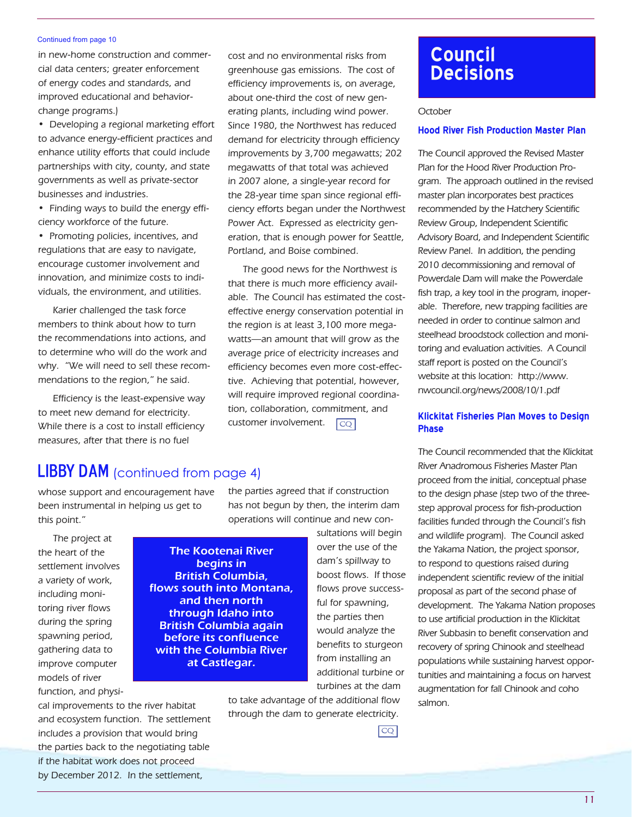#### Continued from page 10

in new-home construction and commercial data centers; greater enforcement of energy codes and standards, and improved educational and behaviorchange programs.)

• Developing a regional marketing effort to advance energy-efficient practices and enhance utility efforts that could include partnerships with city, county, and state governments as well as private-sector businesses and industries.

• Finding ways to build the energy efficiency workforce of the future.

• Promoting policies, incentives, and regulations that are easy to navigate, encourage customer involvement and innovation, and minimize costs to individuals, the environment, and utilities.

Karier challenged the task force members to think about how to turn the recommendations into actions, and to determine who will do the work and why. "We will need to sell these recommendations to the region," he said.

Efficiency is the least-expensive way to meet new demand for electricity. While there is a cost to install efficiency measures, after that there is no fuel

cost and no environmental risks from greenhouse gas emissions. The cost of efficiency improvements is, on average, about one-third the cost of new generating plants, including wind power. Since 1980, the Northwest has reduced demand for electricity through efficiency improvements by 3,700 megawatts; 202 megawatts of that total was achieved in 2007 alone, a single-year record for the 28-year time span since regional efficiency efforts began under the Northwest Power Act. Expressed as electricity generation, that is enough power for Seattle, Portland, and Boise combined.

 $|CO|$ The good news for the Northwest is that there is much more efficiency available. The Council has estimated the costeffective energy conservation potential in the region is at least 3,100 more megawatts—an amount that will grow as the average price of electricity increases and efficiency becomes even more cost-effective. Achieving that potential, however, will require improved regional coordination, collaboration, commitment, and customer involvement.

# **LIBBY DAM** (continued from page 4)

whose support and encouragement have been instrumental in helping us get to this point."

The project at the heart of the settlement involves a variety of work, including monitoring river flows during the spring spawning period, gathering data to improve computer models of river function, and physi-

cal improvements to the river habitat and ecosystem function. The settlement includes a provision that would bring the parties back to the negotiating table if the habitat work does not proceed by December 2012. In the settlement,

the parties agreed that if construction has not begun by then, the interim dam operations will continue and new con-

The Kootenai River begins in British Columbia, flows south into Montana, and then north through Idaho into British Columbia again before its confluence with the Columbia River at Castlegar.

the parties then would analyze the benefits to sturgeon from installing an additional turbine or turbines at the dam to take advantage of the additional flow

sultations will begin over the use of the dam's spillway to boost flows. If those flows prove successful for spawning,

through the dam to generate electricity.

 $\overline{CQ}$ 

# **Council Decisions**

#### **October**

### **Hood River Fish Production Master Plan**

The Council approved the Revised Master Plan for the Hood River Production Program. The approach outlined in the revised master plan incorporates best practices recommended by the Hatchery Scientific Review Group, Independent Scientific Advisory Board, and Independent Scientific Review Panel. In addition, the pending 2010 decommissioning and removal of Powerdale Dam will make the Powerdale fish trap, a key tool in the program, inoperable. Therefore, new trapping facilities are needed in order to continue salmon and steelhead broodstock collection and monitoring and evaluation activities. A Council staff report is posted on the Council's website at this location: http://www. nwcouncil.org/news/2008/10/1.pdf

### **Klickitat Fisheries Plan Moves to Design Phase**

The Council recommended that the Klickitat River Anadromous Fisheries Master Plan proceed from the initial, conceptual phase to the design phase (step two of the threestep approval process for fish-production facilities funded through the Council's fish and wildlife program). The Council asked the Yakama Nation, the project sponsor, to respond to questions raised during independent scientific review of the initial proposal as part of the second phase of development. The Yakama Nation proposes to use artificial production in the Klickitat River Subbasin to benefit conservation and recovery of spring Chinook and steelhead populations while sustaining harvest opportunities and maintaining a focus on harvest augmentation for fall Chinook and coho salmon.